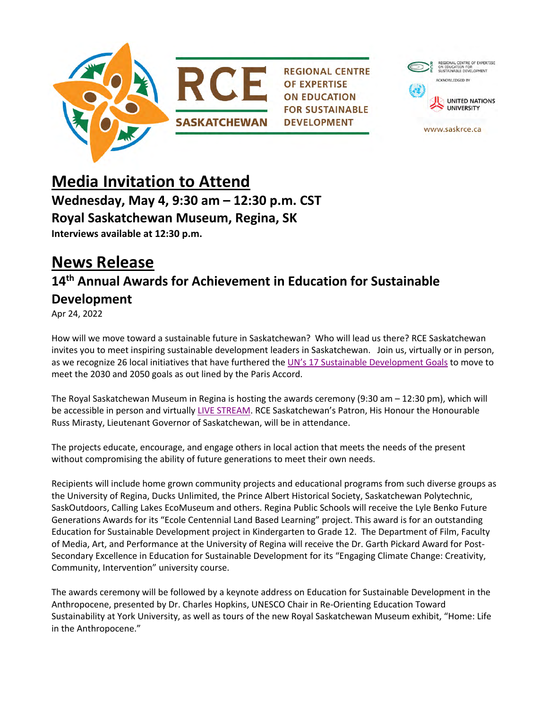



## **Media Invitation to Attend Wednesday, May 4, 9:30 am – 12:30 p.m. CST Royal Saskatchewan Museum, Regina, SK Interviews available at 12:30 p.m.**

# **News Release**

## **14th Annual Awards for Achievement in Education for Sustainable Development**

Apr 24, 2022

How will we move toward a sustainable future in Saskatchewan? Who will lead us there? RCE Saskatchewan invites you to meet inspiring sustainable development leaders in Saskatchewan. Join us, virtually or in person, as we recognize 26 local initiatives that have furthered the [UN's 17 Sustainable Development Goals](https://www.undp.org/sustainable-development-goals) to move to meet the 2030 and 2050 goals as out lined by the Paris Accord.

The Royal Saskatchewan Museum in Regina is hosting the awards ceremony (9:30 am – 12:30 pm), which will be accessible in person and virtually [LIVE STREAM.](https://www.youtube.com/watch?v=bh8vkFqmJsU) RCE Saskatchewan's Patron, His Honour the Honourable Russ Mirasty, Lieutenant Governor of Saskatchewan, will be in attendance.

The projects educate, encourage, and engage others in local action that meets the needs of the present without compromising the ability of future generations to meet their own needs.

Recipients will include home grown community projects and educational programs from such diverse groups as the University of Regina, Ducks Unlimited, the Prince Albert Historical Society, Saskatchewan Polytechnic, SaskOutdoors, Calling Lakes EcoMuseum and others. Regina Public Schools will receive the Lyle Benko Future Generations Awards for its "Ecole Centennial Land Based Learning" project. This award is for an outstanding Education for Sustainable Development project in Kindergarten to Grade 12. The Department of Film, Faculty of Media, Art, and Performance at the University of Regina will receive the Dr. Garth Pickard Award for Post-Secondary Excellence in Education for Sustainable Development for its "Engaging Climate Change: Creativity, Community, Intervention" university course.

The awards ceremony will be followed by a keynote address on Education for Sustainable Development in the Anthropocene, presented by Dr. Charles Hopkins, UNESCO Chair in Re-Orienting Education Toward Sustainability at York University, as well as tours of the new Royal Saskatchewan Museum exhibit, "Home: Life in the Anthropocene."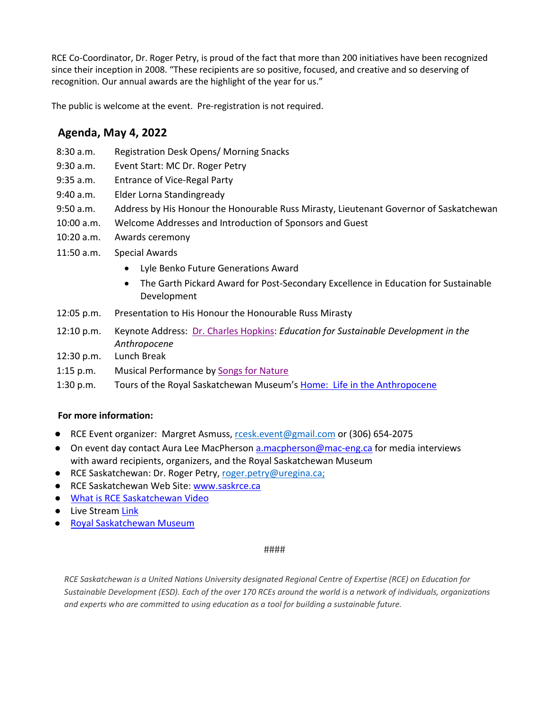RCE Co-Coordinator, Dr. Roger Petry, is proud of the fact that more than 200 initiatives have been recognized since their inception in 2008. "These recipients are so positive, focused, and creative and so deserving of recognition. Our annual awards are the highlight of the year for us."

The public is welcome at the event. Pre-registration is not required.

## **Agenda, May 4, 2022**

- 8:30 a.m. Registration Desk Opens/ Morning Snacks
- 9:30 a.m. Event Start: MC Dr. Roger Petry
- 9:35 a.m. Entrance of Vice-Regal Party
- 9:40 a.m. Elder Lorna Standingready
- 9:50 a.m. Address by His Honour the Honourable Russ Mirasty, Lieutenant Governor of Saskatchewan
- 10:00 a.m. Welcome Addresses and Introduction of Sponsors and Guest
- 10:20 a.m. Awards ceremony
- 11:50 a.m. Special Awards
	- Lyle Benko Future Generations Award
	- The Garth Pickard Award for Post-Secondary Excellence in Education for Sustainable Development
- 12:05 p.m. Presentation to His Honour the Honourable Russ Mirasty
- 12:10 p.m. Keynote Address: [Dr. Charles Hopkins:](https://unescochair.info.yorku.ca/charles-hopkins/) *Education for Sustainable Development in the Anthropocene*
- 12:30 p.m. Lunch Break
- 1:15 p.m. Musical Performance by [Songs for Nature](https://royalsaskmuseum.ca/visit/events/songs-4-nature-adult-winter-songwriting-camp)
- 1:30 p.m. Tours of the Royal Saskatchewan Museum's [Home: Life in the Anthropocene](https://royalsaskmuseum.ca/visit/exhibits/home)

### **For more information:**

- RCE Event organizer: Margret Asmuss, [rcesk.event@gmail.com](mailto:rcesk.event@gmail.com) or (306) 654-2075
- On event day contact Aura Lee MacPherson [a.macpherson@mac-eng.ca](mailto:a.macpherson@mac-eng.ca) for media interviews with award recipients, organizers, and the Royal Saskatchewan Museum
- RCE Saskatchewan: Dr. Roger Petry, [roger.petry@uregina.ca;](mailto:roger.petry@uregina.ca)
- RCE Saskatchewan Web Site: [www.saskrce.ca](http://www.saskrce.ca)
- [What is RCE Saskatchewan Video](https://www.youtube.com/watch?v=UY-toPGjcro&t=69s)
- Live Stream [Link](https://www.youtube.com/watch?v=bh8vkFqmJsU)
- [Royal Saskatchewan Museum](https://royalsaskmuseum.ca)

#### ####

*RCE Saskatchewan is a United Nations University designated Regional Centre of Expertise (RCE) on Education for Sustainable Development (ESD). Each of the over 170 RCEs around the world is a network of individuals, organizations and experts who are committed to using education as a tool for building a sustainable future.*